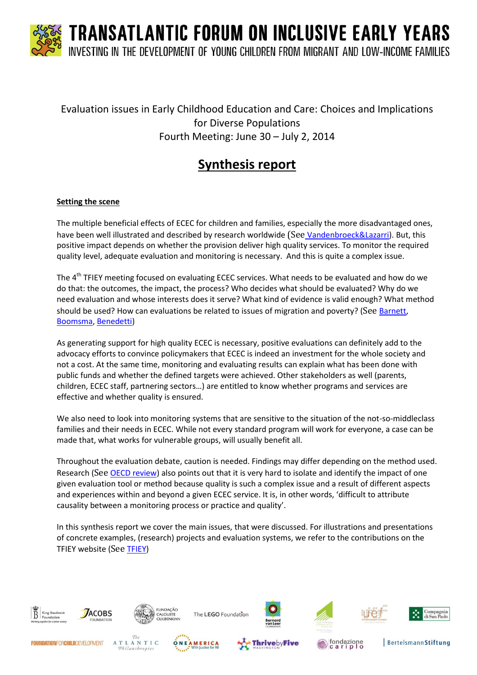### Evaluation issues in Early Childhood Education and Care: Choices and Implications for Diverse Populations Fourth Meeting: June 30 – July 2, 2014

### **Synthesis report**

#### **Setting the scene**

The multiple beneficial effects of ECEC for children and families, especially the more disadvantaged ones, have been well illustrated and described by research worldwide (See [Vandenbroeck&Lazarri\)](http://www.calameo.com/read/00177429551d5b0e39f58?authid=CPl36OnEszoy). But, this positive impact depends on whether the provision deliver high quality services. To monitor the required quality level, adequate evaluation and monitoring is necessary. And this is quite a complex issue.

The 4<sup>th</sup> TFIEY meeting focused on evaluating ECEC services. What needs to be evaluated and how do we do that: the outcomes, the impact, the process? Who decides what should be evaluated? Why do we need evaluation and whose interests does it serve? What kind of evidence is valid enough? What method should be used? How can evaluations be related to issues of migration and poverty? (See [Barnett,](http://www.kbs-frb.be/uploadedFiles/2012-KBS-FRB/05)_Pictures,_documents_and_external_sites/12)_Report/2014TFIEY_StevenBarnett_evaluation.pdf) [Boomsma,](http://www.kbs-frb.be/uploadedFiles/2012-KBS-FRB/05)_Pictures,_documents_and_external_sites/12)_Report/2014TFIEY_WytskeBoomsma.pdf) [Benedetti\)](http://www.kbs-frb.be/uploadedFiles/2012-KBS-FRB/05)_Pictures,_documents_and_external_sites/12)_Report/2014TFIEY_SandraBenedetti.pdf)

As generating support for high quality ECEC is necessary, positive evaluations can definitely add to the advocacy efforts to convince policymakers that ECEC is indeed an investment for the whole society and not a cost. At the same time, monitoring and evaluating results can explain what has been done with public funds and whether the defined targets were achieved. Other stakeholders as well (parents, children, ECEC staff, partnering sectors…) are entitled to know whether programs and services are effective and whether quality is ensured.

We also need to look into monitoring systems that are sensitive to the situation of the not-so-middleclass families and their needs in ECEC. While not every standard program will work for everyone, a case can be made that, what works for vulnerable groups, will usually benefit all.

Throughout the evaluation debate, caution is needed. Findings may differ depending on the method used. Research (See [OECD review\)](http://www.kbs-frb.be/uploadedFiles/2012-KBS-FRB/05)_Pictures,_documents_and_external_sites/12)_Report/2014TFIEY_Monitoringpoliciesandpractisesinplace.pdf) also points out that it is very hard to isolate and identify the impact of one given evaluation tool or method because quality is such a complex issue and a result of different aspects and experiences within and beyond a given ECEC service. It is, in other words, 'difficult to attribute causality between a monitoring process or practice and quality'.

In this synthesis report we cover the main issues, that were discussed. For illustrations and presentations of concrete examples, (research) projects and evaluation systems, we refer to the contributions on the TFIEY website (See [TFIEY\)](http://www.kbs-frb.be/otheractivity.aspx?id=293963&langtype=1033)



Philanthropies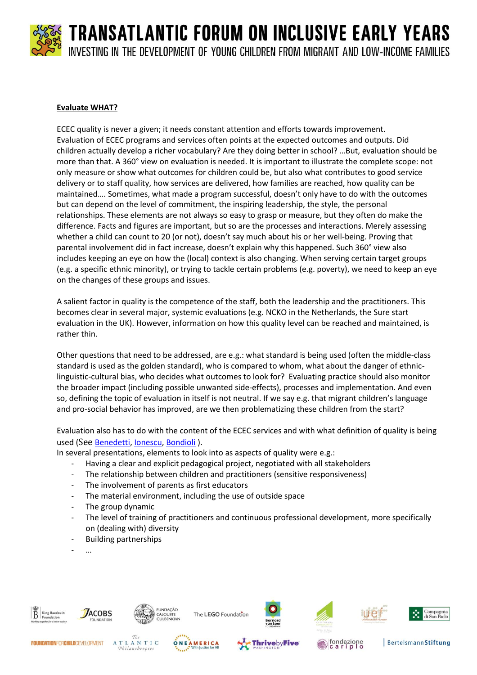#### **Evaluate WHAT?**

ECEC quality is never a given; it needs constant attention and efforts towards improvement. Evaluation of ECEC programs and services often points at the expected outcomes and outputs. Did children actually develop a richer vocabulary? Are they doing better in school? …But, evaluation should be more than that. A 360° view on evaluation is needed. It is important to illustrate the complete scope: not only measure or show what outcomes for children could be, but also what contributes to good service delivery or to staff quality, how services are delivered, how families are reached, how quality can be maintained…. Sometimes, what made a program successful, doesn't only have to do with the outcomes but can depend on the level of commitment, the inspiring leadership, the style, the personal relationships. These elements are not always so easy to grasp or measure, but they often do make the difference. Facts and figures are important, but so are the processes and interactions. Merely assessing whether a child can count to 20 (or not), doesn't say much about his or her well-being. Proving that parental involvement did in fact increase, doesn't explain why this happened. Such 360° view also includes keeping an eye on how the (local) context is also changing. When serving certain target groups (e.g. a specific ethnic minority), or trying to tackle certain problems (e.g. poverty), we need to keep an eye on the changes of these groups and issues.

A salient factor in quality is the competence of the staff, both the leadership and the practitioners. This becomes clear in several major, systemic evaluations (e.g. NCKO in the Netherlands, the Sure start evaluation in the UK). However, information on how this quality level can be reached and maintained, is rather thin.

Other questions that need to be addressed, are e.g.: what standard is being used (often the middle-class standard is used as the golden standard), who is compared to whom, what about the danger of ethniclinguistic-cultural bias, who decides what outcomes to look for? Evaluating practice should also monitor the broader impact (including possible unwanted side-effects), processes and implementation. And even so, defining the topic of evaluation in itself is not neutral. If we say e.g. that migrant children's language and pro-social behavior has improved, are we then problematizing these children from the start?

Evaluation also has to do with the content of the ECEC services and with what definition of quality is being used (See [Benedetti,](http://www.kbs-frb.be/uploadedFiles/2012-KBS-FRB/05)_Pictures,_documents_and_external_sites/12)_Report/2014TFIEY_SandraBenedetti.pdf) [Ionescu,](http://www.kbs-frb.be/uploadedFiles/2012-KBS-FRB/05)_Pictures,_documents_and_external_sites/12)_Report/2014TFIEY_MihaelaIonescu.pdf) [Bondioli](http://www.kbs-frb.be/uploadedFiles/2012-KBS-FRB/05)_Pictures,_documents_and_external_sites/12)_Report/2014TFIEY_AnnaBondioli.pdf) ).

In several presentations, elements to look into as aspects of quality were e.g.:

- Having a clear and explicit pedagogical project, negotiated with all stakeholders
- The relationship between children and practitioners (sensitive responsiveness)
- The involvement of parents as first educators
- The material environment, including the use of outside space
- The group dynamic
- The level of training of practitioners and continuous professional development, more specifically on (dealing with) diversity
- Building partnerships
- …





The LEGO Foundation



















**BertelsmannStiftung**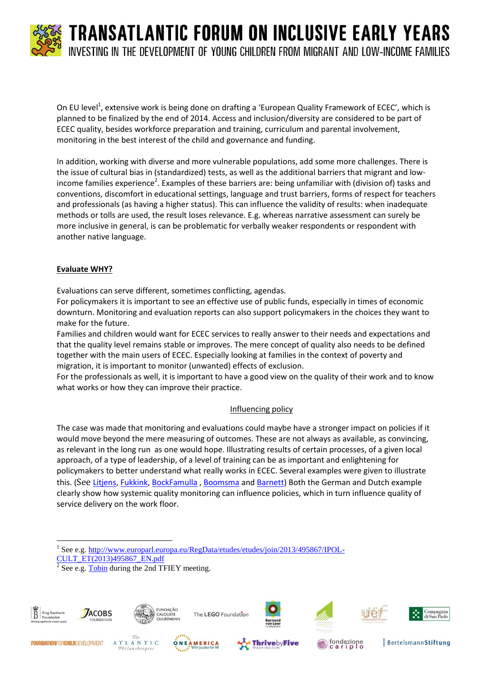On EU level<sup>1</sup>, extensive work is being done on drafting a 'European Quality Framework of ECEC', which is planned to be finalized by the end of 2014. Access and inclusion/diversity are considered to be part of ECEC quality, besides workforce preparation and training, curriculum and parental involvement, monitoring in the best interest of the child and governance and funding.

In addition, working with diverse and more vulnerable populations, add some more challenges. There is the issue of cultural bias in (standardized) tests, as well as the additional barriers that migrant and lowincome families experience<sup>2</sup>. Examples of these barriers are: being unfamiliar with (division of) tasks and conventions, discomfort in educational settings, language and trust barriers, forms of respect for teachers and professionals (as having a higher status). This can influence the validity of results: when inadequate methods or tolls are used, the result loses relevance. E.g. whereas narrative assessment can surely be more inclusive in general, is can be problematic for verbally weaker respondents or respondent with another native language.

#### **Evaluate WHY?**

Evaluations can serve different, sometimes conflicting, agendas.

For policymakers it is important to see an effective use of public funds, especially in times of economic downturn. Monitoring and evaluation reports can also support policymakers in the choices they want to make for the future.

Families and children would want for ECEC services to really answer to their needs and expectations and that the quality level remains stable or improves. The mere concept of quality also needs to be defined together with the main users of ECEC. Especially looking at families in the context of poverty and migration, it is important to monitor (unwanted) effects of exclusion.

For the professionals as well, it is important to have a good view on the quality of their work and to know what works or how they can improve their practice.

#### Influencing policy

The case was made that monitoring and evaluations could maybe have a stronger impact on policies if it would move beyond the mere measuring of outcomes. These are not always as available, as convincing, as relevant in the long run as one would hope. Illustrating results of certain processes, of a given local approach, of a type of leadership, of a level of training can be as important and enlightening for policymakers to better understand what really works in ECEC. Several examples were given to illustrate this. (See [Litjens,](http://www.kbs-frb.be/uploadedFiles/2012-KBS-FRB/05)_Pictures,_documents_and_external_sites/12)_Report/2014TFIEY_InekeLitjens.pdf) [Fukkink,](http://www.kbs-frb.be/uploadedFiles/2012-KBS-FRB/05)_Pictures,_documents_and_external_sites/12)_Report/2014TFIEY_RubenFukkink.pdf) [BockFamulla](http://www.kbs-frb.be/uploadedFiles/2012-KBS-FRB/05)_Pictures,_documents_and_external_sites/12)_Report/2014TFIEY_KathrinBockFamulla.pdf) , [Boomsma](http://www.kbs-frb.be/uploadedFiles/2012-KBS-FRB/05)_Pictures,_documents_and_external_sites/12)_Report/2014TFIEY_WytskeBoomsma.pdf) and [Barnett\)](http://www.kbs-frb.be/uploadedFiles/2012-KBS-FRB/05)_Pictures,_documents_and_external_sites/12)_Report/2014TFIEY_StevenBarnett_evaluation.pdf) Both the German and Dutch example clearly show how systemic quality monitoring can influence policies, which in turn influence quality of service delivery on the work floor.

<sup>2</sup> See e.g. **Tobin** during the 2nd TFIEY meeting.





The LEGO Foundation



















**BertelsmannStiftung** 

 $\overline{\phantom{a}}$ <sup>1</sup> See e.g. [http://www.europarl.europa.eu/RegData/etudes/etudes/join/2013/495867/IPOL-](http://www.europarl.europa.eu/RegData/etudes/etudes/join/2013/495867/IPOL-CULT_ET(2013)495867_EN.pdf)[CULT\\_ET\(2013\)495867\\_EN.pdf](http://www.europarl.europa.eu/RegData/etudes/etudes/join/2013/495867/IPOL-CULT_ET(2013)495867_EN.pdf)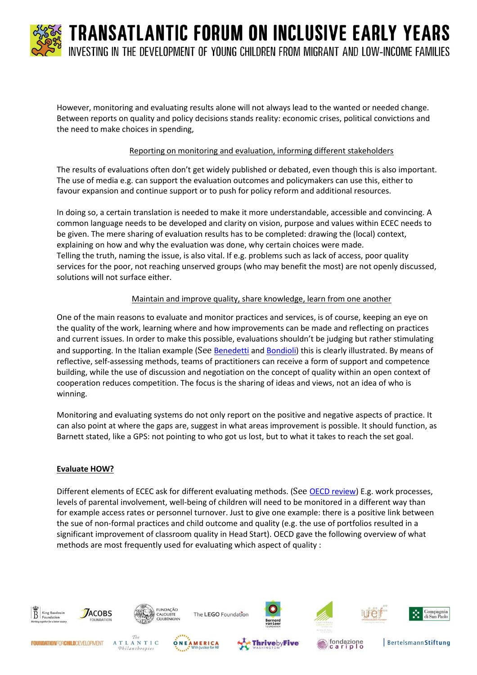

However, monitoring and evaluating results alone will not always lead to the wanted or needed change. Between reports on quality and policy decisions stands reality: economic crises, political convictions and the need to make choices in spending,

#### Reporting on monitoring and evaluation, informing different stakeholders

The results of evaluations often don't get widely published or debated, even though this is also important. The use of media e.g. can support the evaluation outcomes and policymakers can use this, either to favour expansion and continue support or to push for policy reform and additional resources.

In doing so, a certain translation is needed to make it more understandable, accessible and convincing. A common language needs to be developed and clarity on vision, purpose and values within ECEC needs to be given. The mere sharing of evaluation results has to be completed: drawing the (local) context, explaining on how and why the evaluation was done, why certain choices were made. Telling the truth, naming the issue, is also vital. If e.g. problems such as lack of access, poor quality services for the poor, not reaching unserved groups (who may benefit the most) are not openly discussed, solutions will not surface either.

#### Maintain and improve quality, share knowledge, learn from one another

One of the main reasons to evaluate and monitor practices and services, is of course, keeping an eye on the quality of the work, learning where and how improvements can be made and reflecting on practices and current issues. In order to make this possible, evaluations shouldn't be judging but rather stimulating and supporting. In the Italian example (See [Benedetti](http://www.kbs-frb.be/uploadedFiles/2012-KBS-FRB/05)_Pictures,_documents_and_external_sites/12)_Report/2014TFIEY_SandraBenedetti.pdf) an[d Bondioli\)](http://www.kbs-frb.be/uploadedFiles/2012-KBS-FRB/05)_Pictures,_documents_and_external_sites/12)_Report/2014TFIEY_AnnaBondioli.pdf) this is clearly illustrated. By means of reflective, self-assessing methods, teams of practitioners can receive a form of support and competence building, while the use of discussion and negotiation on the concept of quality within an open context of cooperation reduces competition. The focus is the sharing of ideas and views, not an idea of who is winning.

Monitoring and evaluating systems do not only report on the positive and negative aspects of practice. It can also point at where the gaps are, suggest in what areas improvement is possible. It should function, as Barnett stated, like a GPS: not pointing to who got us lost, but to what it takes to reach the set goal.

#### **Evaluate HOW?**

Different elements of ECEC ask for different evaluating methods. (See [OECD review\)](http://www.kbs-frb.be/uploadedFiles/2012-KBS-FRB/05)_Pictures,_documents_and_external_sites/12)_Report/2014TFIEY_Monitoringpoliciesandpractisesinplace.pdf) E.g. work processes, levels of parental involvement, well-being of children will need to be monitored in a different way than for example access rates or personnel turnover. Just to give one example: there is a positive link between the sue of non-formal practices and child outcome and quality (e.g. the use of portfolios resulted in a significant improvement of classroom quality in Head Start). OECD gave the following overview of what methods are most frequently used for evaluating which aspect of quality :

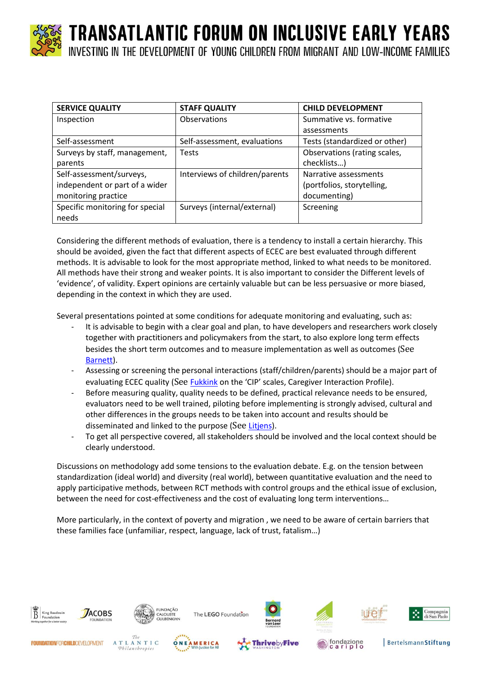

TRANSATLANTIC FORUM ON INCLUSIVE EARLY YEARS

INVESTING IN THE DEVELOPMENT OF YOUNG CHILDREN FROM MIGRANT AND LOW-INCOME FAMILIES

| <b>SERVICE QUALITY</b>          | <b>STAFF QUALITY</b>           | <b>CHILD DEVELOPMENT</b>      |
|---------------------------------|--------------------------------|-------------------------------|
| Inspection                      | <b>Observations</b>            | Summative vs. formative       |
|                                 |                                | assessments                   |
| Self-assessment                 | Self-assessment, evaluations   | Tests (standardized or other) |
| Surveys by staff, management,   | <b>Tests</b>                   | Observations (rating scales,  |
| parents                         |                                | checklists)                   |
| Self-assessment/surveys,        | Interviews of children/parents | Narrative assessments         |
| independent or part of a wider  |                                | (portfolios, storytelling,    |
| monitoring practice             |                                | documenting)                  |
| Specific monitoring for special | Surveys (internal/external)    | Screening                     |
| needs                           |                                |                               |

Considering the different methods of evaluation, there is a tendency to install a certain hierarchy. This should be avoided, given the fact that different aspects of ECEC are best evaluated through different methods. It is advisable to look for the most appropriate method, linked to what needs to be monitored. All methods have their strong and weaker points. It is also important to consider the Different levels of 'evidence', of validity. Expert opinions are certainly valuable but can be less persuasive or more biased, depending in the context in which they are used.

Several presentations pointed at some conditions for adequate monitoring and evaluating, such as:

- It is advisable to begin with a clear goal and plan, to have developers and researchers work closely together with practitioners and policymakers from the start, to also explore long term effects besides the short term outcomes and to measure implementation as well as outcomes (See [Barnett\)](http://www.kbs-frb.be/uploadedFiles/2012-KBS-FRB/05)_Pictures,_documents_and_external_sites/12)_Report/2014TFIEY_StevenBarnett_evaluation.pdf).
- Assessing or screening the personal interactions (staff/children/parents) should be a major part of evaluating ECEC quality (See [Fukkink](http://www.kbs-frb.be/uploadedFiles/2012-KBS-FRB/05)_Pictures,_documents_and_external_sites/12)_Report/2014TFIEY_RubenFukkink.pdf) on the 'CIP' scales, Caregiver Interaction Profile).
- Before measuring quality, quality needs to be defined, practical relevance needs to be ensured, evaluators need to be well trained, piloting before implementing is strongly advised, cultural and other differences in the groups needs to be taken into account and results should be disseminated and linked to the purpose (See [Litjens\)](http://www.kbs-frb.be/uploadedFiles/2012-KBS-FRB/05)_Pictures,_documents_and_external_sites/12)_Report/2014TFIEY_InekeLitjens.pdf).
- To get all perspective covered, all stakeholders should be involved and the local context should be clearly understood.

Discussions on methodology add some tensions to the evaluation debate. E.g. on the tension between standardization (ideal world) and diversity (real world), between quantitative evaluation and the need to apply participative methods, between RCT methods with control groups and the ethical issue of exclusion, between the need for cost-effectiveness and the cost of evaluating long term interventions…

More particularly, in the context of poverty and migration , we need to be aware of certain barriers that these families face (unfamiliar, respect, language, lack of trust, fatalism…)











**BertelsmannStiftung**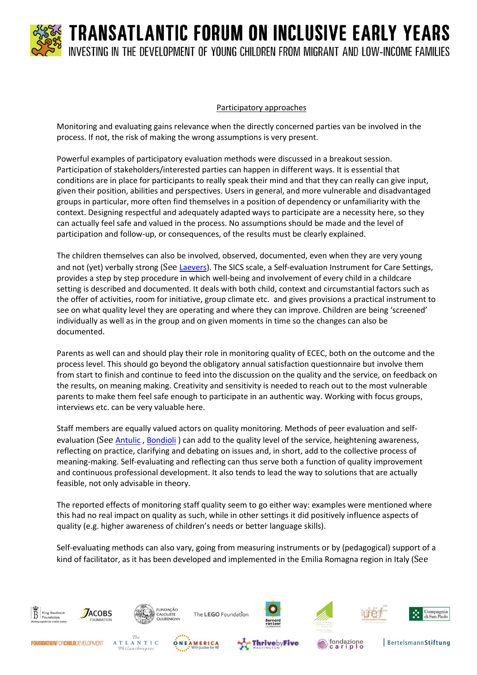

#### Participatory approaches

Monitoring and evaluating gains relevance when the directly concerned parties van be involved in the process. If not, the risk of making the wrong assumptions is very present.

Powerful examples of participatory evaluation methods were discussed in a breakout session. Participation of stakeholders/interested parties can happen in different ways. It is essential that conditions are in place for participants to really speak their mind and that they can really can give input, given their position, abilities and perspectives. Users in general, and more vulnerable and disadvantaged groups in particular, more often find themselves in a position of dependency or unfamiliarity with the context. Designing respectful and adequately adapted ways to participate are a necessity here, so they can actually feel safe and valued in the process. No assumptions should be made and the level of participation and follow-up, or consequences, of the results must be clearly explained.

The children themselves can also be involved, observed, documented, even when they are very young and not (yet) verbally strong (See [Laevers\)](http://www.kbs-frb.be/uploadedFiles/2012-KBS-FRB/05)_Pictures,_documents_and_external_sites/12)_Report/2014TFIEY_FerreLaevers.pdf). The SICS scale, a Self-evaluation Instrument for Care Settings, provides a step by step procedure in which well-being and involvement of every child in a childcare setting is described and documented. It deals with both child, context and circumstantial factors such as the offer of activities, room for initiative, group climate etc. and gives provisions a practical instrument to see on what quality level they are operating and where they can improve. Children are being 'screened' individually as well as in the group and on given moments in time so the changes can also be documented.

Parents as well can and should play their role in monitoring quality of ECEC, both on the outcome and the process level. This should go beyond the obligatory annual satisfaction questionnaire but involve them from start to finish and continue to feed into the discussion on the quality and the service, on feedback on the results, on meaning making. Creativity and sensitivity is needed to reach out to the most vulnerable parents to make them feel safe enough to participate in an authentic way. Working with focus groups, interviews etc. can be very valuable here.

Staff members are equally valued actors on quality monitoring. Methods of peer evaluation and self-evaluation (See [Antulic](http://www.kbs-frb.be/uploadedFiles/2012-KBS-FRB/05)_Pictures,_documents_and_external_sites/12)_Report/2014TFIEY_SandraAntulic.pdf), [Bondioli](http://www.kbs-frb.be/uploadedFiles/2012-KBS-FRB/05)_Pictures,_documents_and_external_sites/12)_Report/2014TFIEY_AnnaBondioli.pdf)) can add to the quality level of the service, heightening awareness, reflecting on practice, clarifying and debating on issues and, in short, add to the collective process of meaning-making. Self-evaluating and reflecting can thus serve both a function of quality improvement and continuous professional development. It also tends to lead the way to solutions that are actually feasible, not only advisable in theory.

The reported effects of monitoring staff quality seem to go either way: examples were mentioned where this had no real impact on quality as such, while in other settings it did positively influence aspects of quality (e.g. higher awareness of children's needs or better language skills).

Self-evaluating methods can also vary, going from measuring instruments or by (pedagogical) support of a kind of facilitator, as it has been developed and implemented in the Emilia Romagna region in Italy (See

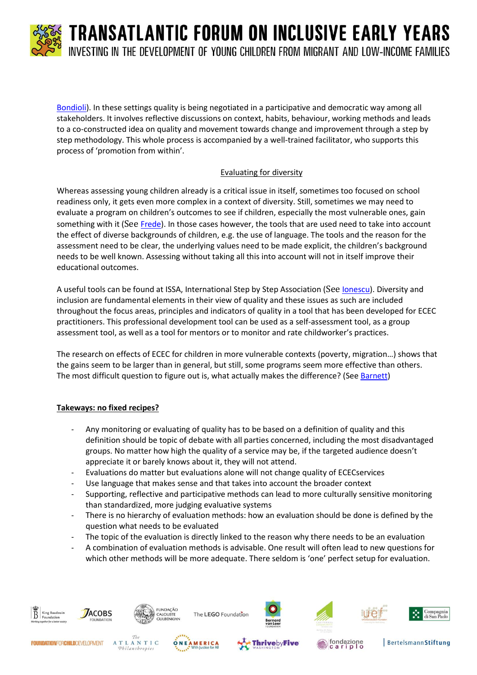

[Bondioli\)](http://www.kbs-frb.be/uploadedFiles/2012-KBS-FRB/05)_Pictures,_documents_and_external_sites/12)_Report/2014TFIEY_AnnaBondioli.pdf). In these settings quality is being negotiated in a participative and democratic way among all stakeholders. It involves reflective discussions on context, habits, behaviour, working methods and leads to a co-constructed idea on quality and movement towards change and improvement through a step by step methodology. This whole process is accompanied by a well-trained facilitator, who supports this process of 'promotion from within'.

#### Evaluating for diversity

Whereas assessing young children already is a critical issue in itself, sometimes too focused on school readiness only, it gets even more complex in a context of diversity. Still, sometimes we may need to evaluate a program on children's outcomes to see if children, especially the most vulnerable ones, gain something with it (See [Frede\)](http://www.kbs-frb.be/uploadedFiles/2012-KBS-FRB/05)_Pictures,_documents_and_external_sites/12)_Report/2014TFIEY_EllenFrede.pdf). In those cases however, the tools that are used need to take into account the effect of diverse backgrounds of children, e.g. the use of language. The tools and the reason for the assessment need to be clear, the underlying values need to be made explicit, the children's background needs to be well known. Assessing without taking all this into account will not in itself improve their educational outcomes.

A useful tools can be found at ISSA, International Step by Step Association (See [Ionescu\)](http://www.kbs-frb.be/uploadedFiles/2012-KBS-FRB/05)_Pictures,_documents_and_external_sites/12)_Report/2014TFIEY_MihaelaIonescu.pdf). Diversity and inclusion are fundamental elements in their view of quality and these issues as such are included throughout the focus areas, principles and indicators of quality in a tool that has been developed for ECEC practitioners. This professional development tool can be used as a self-assessment tool, as a group assessment tool, as well as a tool for mentors or to monitor and rate childworker's practices.

The research on effects of ECEC for children in more vulnerable contexts (poverty, migration…) shows that the gains seem to be larger than in general, but still, some programs seem more effective than others. The most difficult question to figure out is, what actually makes the difference? (See [Barnett\)](http://www.kbs-frb.be/uploadedFiles/2012-KBS-FRB/05)_Pictures,_documents_and_external_sites/12)_Report/2014TFIEY_StevenBarnett_evaluation.pdf)

#### **Takeways: no fixed recipes?**

- Any monitoring or evaluating of quality has to be based on a definition of quality and this definition should be topic of debate with all parties concerned, including the most disadvantaged groups. No matter how high the quality of a service may be, if the targeted audience doesn't appreciate it or barely knows about it, they will not attend.
- Evaluations do matter but evaluations alone will not change quality of ECECservices
- Use language that makes sense and that takes into account the broader context
- Supporting, reflective and participative methods can lead to more culturally sensitive monitoring than standardized, more judging evaluative systems
- There is no hierarchy of evaluation methods: how an evaluation should be done is defined by the question what needs to be evaluated
- The topic of the evaluation is directly linked to the reason why there needs to be an evaluation
- A combination of evaluation methods is advisable. One result will often lead to new questions for which other methods will be more adequate. There seldom is 'one' perfect setup for evaluation.

**ThrivebyFive** 

fondazione<br>cariplo



**FOUNDATIONFORCHILDDEVELOPMENT** 

ATLANTIC

Philanthropies